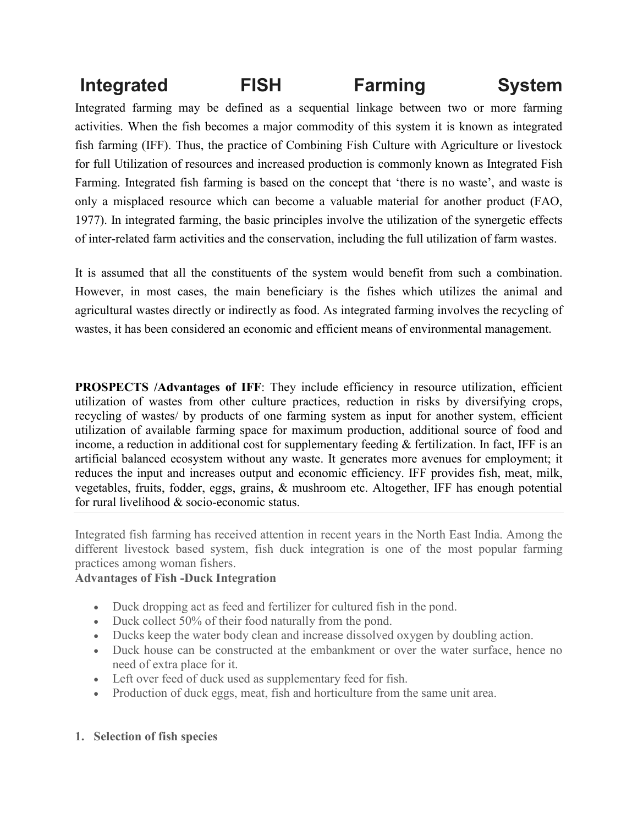# **Integrated FISH Farming System**

Integrated farming may be defined as a sequential linkage between two or more farming activities. When the fish becomes a major commodity of this system it is known as integrated fish farming (IFF). Thus, the practice of Combining Fish Culture with Agriculture or livestock for full Utilization of resources and increased production is commonly known as Integrated Fish Farming. Integrated fish farming is based on the concept that 'there is no waste', and waste is only a misplaced resource which can become a valuable material for another product (FAO, 1977). In integrated farming, the basic principles involve the utilization of the synergetic effects of inter-related farm activities and the conservation, including the full utilization of farm wastes.

It is assumed that all the constituents of the system would benefit from such a combination. However, in most cases, the main beneficiary is the fishes which utilizes the animal and agricultural wastes directly or indirectly as food. As integrated farming involves the recycling of wastes, it has been considered an economic and efficient means of environmental management.

**PROSPECTS /Advantages of IFF:** They include efficiency in resource utilization, efficient utilization of wastes from other culture practices, reduction in risks by diversifying crops, recycling of wastes/ by products of one farming system as input for another system, efficient utilization of available farming space for maximum production, additional source of food and income, a reduction in additional cost for supplementary feeding & fertilization. In fact, IFF is an artificial balanced ecosystem without any waste. It generates more avenues for employment; it reduces the input and increases output and economic efficiency. IFF provides fish, meat, milk, vegetables, fruits, fodder, eggs, grains, & mushroom etc. Altogether, IFF has enough potential for rural livelihood & socio-economic status.

Integrated fish farming has received attention in recent years in the North East India. Among the different livestock based system, fish duck integration is one of the most popular farming practices among woman fishers.

## **Advantages of Fish -Duck Integration**

- Duck dropping act as feed and fertilizer for cultured fish in the pond.
- Duck collect 50% of their food naturally from the pond.
- Ducks keep the water body clean and increase dissolved oxygen by doubling action.
- Duck house can be constructed at the embankment or over the water surface, hence no need of extra place for it.
- Left over feed of duck used as supplementary feed for fish.
- Production of duck eggs, meat, fish and horticulture from the same unit area.

## **1. Selection of fish species**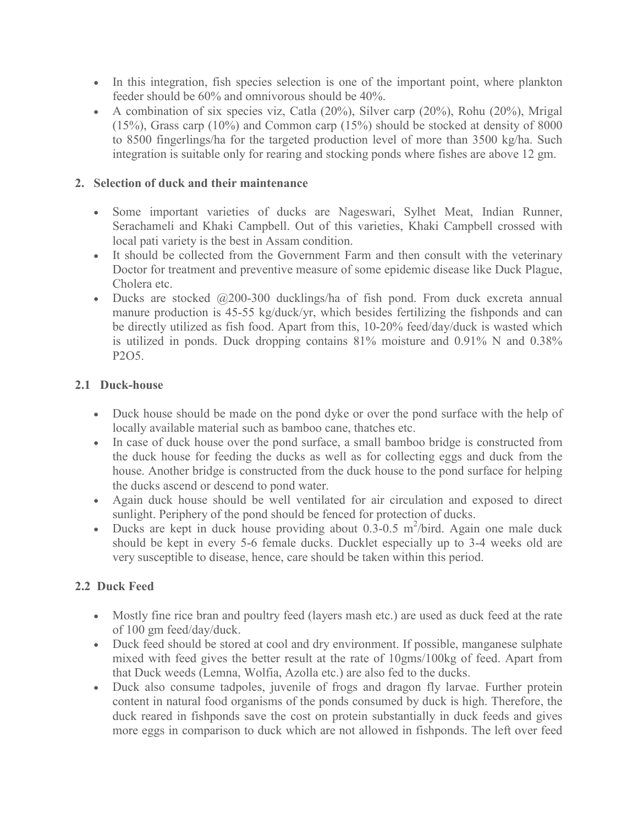- In this integration, fish species selection is one of the important point, where plankton feeder should be 60% and omnivorous should be 40%.
- A combination of six species viz, Catla (20%), Silver carp (20%), Rohu (20%), Mrigal (15%), Grass carp (10%) and Common carp (15%) should be stocked at density of 8000 to 8500 fingerlings/ha for the targeted production level of more than 3500 kg/ha. Such integration is suitable only for rearing and stocking ponds where fishes are above 12 gm.

# **2. Selection of duck and their maintenance**

- Some important varieties of ducks are Nageswari, Sylhet Meat, Indian Runner, Serachameli and Khaki Campbell. Out of this varieties, Khaki Campbell crossed with local pati variety is the best in Assam condition.
- It should be collected from the Government Farm and then consult with the veterinary Doctor for treatment and preventive measure of some epidemic disease like Duck Plague, Cholera etc.
- Ducks are stocked  $(200-300)$  ducklings/ha of fish pond. From duck excreta annual manure production is 45-55 kg/duck/yr, which besides fertilizing the fishponds and can be directly utilized as fish food. Apart from this, 10-20% feed/day/duck is wasted which is utilized in ponds. Duck dropping contains 81% moisture and 0.91% N and 0.38% P2O5.

# **2.1 Duck-house**

- Duck house should be made on the pond dyke or over the pond surface with the help of locally available material such as bamboo cane, thatches etc.
- In case of duck house over the pond surface, a small bamboo bridge is constructed from the duck house for feeding the ducks as well as for collecting eggs and duck from the house. Another bridge is constructed from the duck house to the pond surface for helping the ducks ascend or descend to pond water.
- Again duck house should be well ventilated for air circulation and exposed to direct sunlight. Periphery of the pond should be fenced for protection of ducks.
- Ducks are kept in duck house providing about  $0.3$ - $0.5$  m<sup>2</sup>/bird. Again one male duck should be kept in every 5-6 female ducks. Ducklet especially up to 3-4 weeks old are very susceptible to disease, hence, care should be taken within this period.

# **2.2 Duck Feed**

- Mostly fine rice bran and poultry feed (layers mash etc.) are used as duck feed at the rate of 100 gm feed/day/duck.
- Duck feed should be stored at cool and dry environment. If possible, manganese sulphate mixed with feed gives the better result at the rate of 10gms/100kg of feed. Apart from that Duck weeds (Lemna, Wolfia, Azolla etc.) are also fed to the ducks.
- Duck also consume tadpoles, juvenile of frogs and dragon fly larvae. Further protein content in natural food organisms of the ponds consumed by duck is high. Therefore, the duck reared in fishponds save the cost on protein substantially in duck feeds and gives more eggs in comparison to duck which are not allowed in fishponds. The left over feed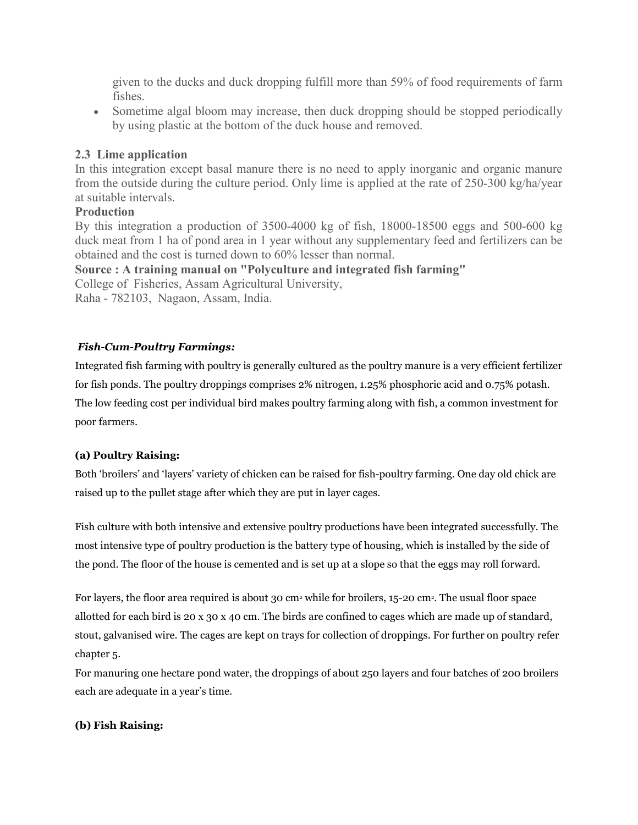given to the ducks and duck dropping fulfill more than 59% of food requirements of farm fishes.

 Sometime algal bloom may increase, then duck dropping should be stopped periodically by using plastic at the bottom of the duck house and removed.

## **2.3 Lime application**

In this integration except basal manure there is no need to apply inorganic and organic manure from the outside during the culture period. Only lime is applied at the rate of 250-300 kg/ha/year at suitable intervals.

## **Production**

By this integration a production of 3500-4000 kg of fish, 18000-18500 eggs and 500-600 kg duck meat from 1 ha of pond area in 1 year without any supplementary feed and fertilizers can be obtained and the cost is turned down to 60% lesser than normal.

**Source : A training manual on "Polyculture and integrated fish farming"**

College of Fisheries, Assam Agricultural University,

Raha - 782103, Nagaon, Assam, India.

## *Fish-Cum-Poultry Farmings:*

Integrated fish farming with poultry is generally cultured as the poultry manure is a very efficient fertilizer for fish ponds. The poultry droppings comprises 2% nitrogen, 1.25% phosphoric acid and 0.75% potash. The low feeding cost per individual bird makes poultry farming along with fish, a common investment for poor farmers.

## **(a) Poultry Raising:**

Both 'broilers' and 'layers' variety of chicken can be raised for fish-poultry farming. One day old chick are raised up to the pullet stage after which they are put in layer cages.

Fish culture with both intensive and extensive poultry productions have been integrated successfully. The most intensive type of poultry production is the battery type of housing, which is installed by the side of the pond. The floor of the house is cemented and is set up at a slope so that the eggs may roll forward.

For layers, the floor area required is about 30 cm<sup>2</sup> while for broilers, 15-20 cm<sup>2</sup>. The usual floor space allotted for each bird is 20 x 30 x 40 cm. The birds are confined to cages which are made up of standard, stout, galvanised wire. The cages are kept on trays for collection of droppings. For further on poultry refer chapter 5.

For manuring one hectare pond water, the droppings of about 250 layers and four batches of 200 broilers each are adequate in a year's time.

## **(b) Fish Raising:**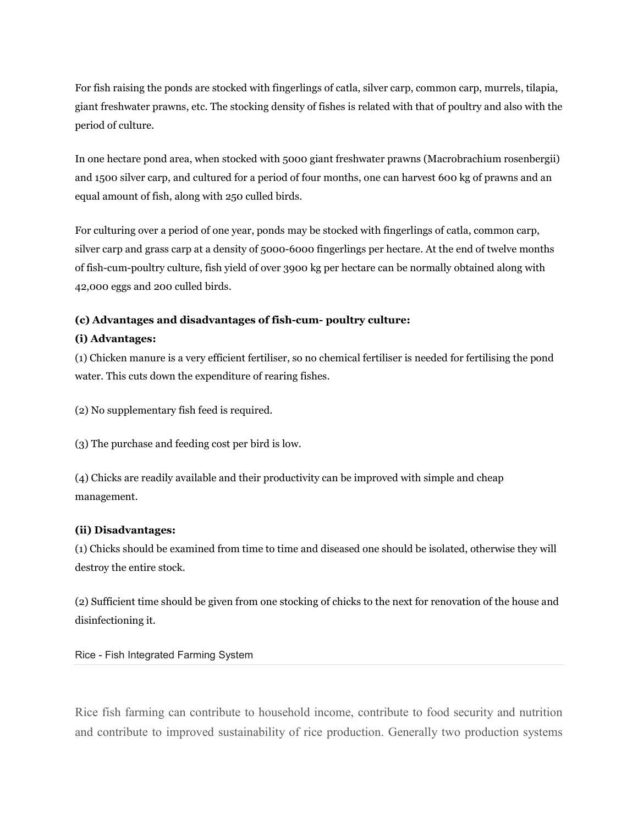For fish raising the ponds are stocked with fingerlings of catla, silver carp, common carp, murrels, tilapia, giant freshwater prawns, etc. The stocking density of fishes is related with that of poultry and also with the period of culture.

In one hectare pond area, when stocked with 5000 giant freshwater prawns (Macrobrachium rosenbergii) and 1500 silver carp, and cultured for a period of four months, one can harvest 600 kg of prawns and an equal amount of fish, along with 250 culled birds.

For culturing over a period of one year, ponds may be stocked with fingerlings of catla, common carp, silver carp and grass carp at a density of 5000-6000 fingerlings per hectare. At the end of twelve months of fish-cum-poultry culture, fish yield of over 3900 kg per hectare can be normally obtained along with 42,000 eggs and 200 culled birds.

#### **(c) Advantages and disadvantages of fish-cum- poultry culture:**

#### **(i) Advantages:**

(1) Chicken manure is a very efficient fertiliser, so no chemical fertiliser is needed for fertilising the pond water. This cuts down the expenditure of rearing fishes.

(2) No supplementary fish feed is required.

(3) The purchase and feeding cost per bird is low.

(4) Chicks are readily available and their productivity can be improved with simple and cheap management.

#### **(ii) Disadvantages:**

(1) Chicks should be examined from time to time and diseased one should be isolated, otherwise they will destroy the entire stock.

(2) Sufficient time should be given from one stocking of chicks to the next for renovation of the house and disinfectioning it.

Rice - Fish Integrated Farming System

Rice fish farming can contribute to household income, contribute to food security and nutrition and contribute to improved sustainability of rice production. Generally two production systems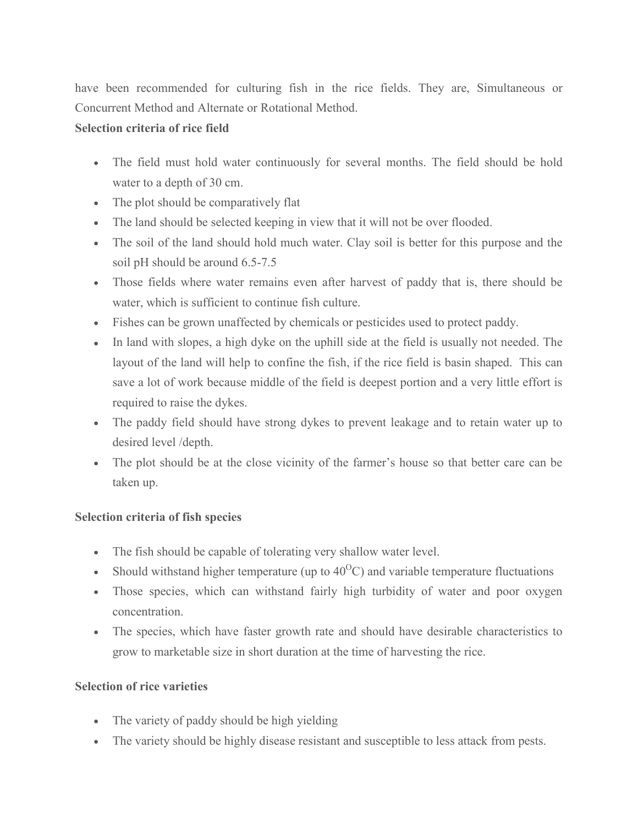have been recommended for culturing fish in the rice fields. They are, Simultaneous or Concurrent Method and Alternate or Rotational Method.

## **Selection criteria of rice field**

- The field must hold water continuously for several months. The field should be hold water to a depth of 30 cm.
- The plot should be comparatively flat
- The land should be selected keeping in view that it will not be over flooded.
- The soil of the land should hold much water. Clay soil is better for this purpose and the soil pH should be around 6.5-7.5
- Those fields where water remains even after harvest of paddy that is, there should be water, which is sufficient to continue fish culture.
- Fishes can be grown unaffected by chemicals or pesticides used to protect paddy.
- In land with slopes, a high dyke on the uphill side at the field is usually not needed. The layout of the land will help to confine the fish, if the rice field is basin shaped. This can save a lot of work because middle of the field is deepest portion and a very little effort is required to raise the dykes.
- The paddy field should have strong dykes to prevent leakage and to retain water up to desired level /depth.
- The plot should be at the close vicinity of the farmer's house so that better care can be taken up.

# **Selection criteria of fish species**

- The fish should be capable of tolerating very shallow water level.
- Should withstand higher temperature (up to  $40^{\circ}$ C) and variable temperature fluctuations
- Those species, which can withstand fairly high turbidity of water and poor oxygen concentration.
- The species, which have faster growth rate and should have desirable characteristics to grow to marketable size in short duration at the time of harvesting the rice.

# **Selection of rice varieties**

- The variety of paddy should be high yielding
- The variety should be highly disease resistant and susceptible to less attack from pests.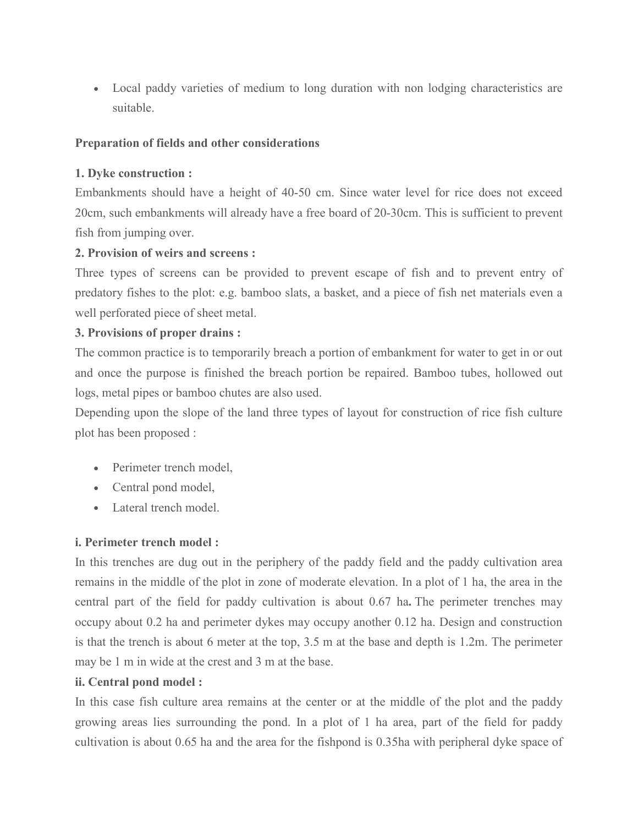Local paddy varieties of medium to long duration with non lodging characteristics are suitable.

## **Preparation of fields and other considerations**

# **1. Dyke construction :**

Embankments should have a height of 40-50 cm. Since water level for rice does not exceed 20cm, such embankments will already have a free board of 20-30cm. This is sufficient to prevent fish from jumping over.

## **2. Provision of weirs and screens :**

Three types of screens can be provided to prevent escape of fish and to prevent entry of predatory fishes to the plot: e.g. bamboo slats, a basket, and a piece of fish net materials even a well perforated piece of sheet metal.

# **3. Provisions of proper drains :**

The common practice is to temporarily breach a portion of embankment for water to get in or out and once the purpose is finished the breach portion be repaired. Bamboo tubes, hollowed out logs, metal pipes or bamboo chutes are also used.

Depending upon the slope of the land three types of layout for construction of rice fish culture plot has been proposed :

- Perimeter trench model,
- Central pond model,
- Lateral trench model.

# **i. Perimeter trench model :**

In this trenches are dug out in the periphery of the paddy field and the paddy cultivation area remains in the middle of the plot in zone of moderate elevation. In a plot of 1 ha, the area in the central part of the field for paddy cultivation is about 0.67 ha**.** The perimeter trenches may occupy about 0.2 ha and perimeter dykes may occupy another 0.12 ha. Design and construction is that the trench is about 6 meter at the top, 3.5 m at the base and depth is 1.2m. The perimeter may be 1 m in wide at the crest and 3 m at the base.

## **ii. Central pond model :**

In this case fish culture area remains at the center or at the middle of the plot and the paddy growing areas lies surrounding the pond. In a plot of 1 ha area, part of the field for paddy cultivation is about 0.65 ha and the area for the fishpond is 0.35ha with peripheral dyke space of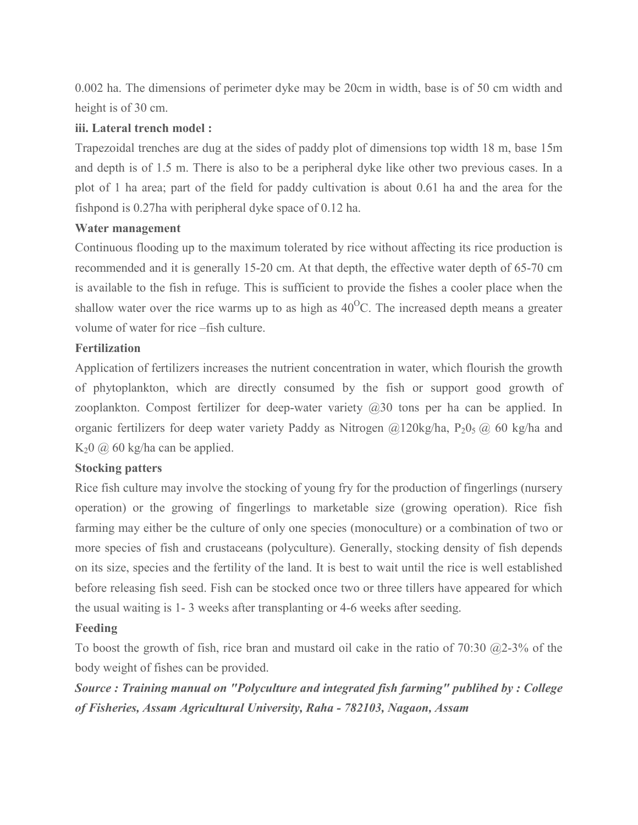0.002 ha. The dimensions of perimeter dyke may be 20cm in width, base is of 50 cm width and height is of 30 cm.

#### **iii. Lateral trench model :**

Trapezoidal trenches are dug at the sides of paddy plot of dimensions top width 18 m, base 15m and depth is of 1.5 m. There is also to be a peripheral dyke like other two previous cases. In a plot of 1 ha area; part of the field for paddy cultivation is about 0.61 ha and the area for the fishpond is 0.27ha with peripheral dyke space of 0.12 ha.

#### **Water management**

Continuous flooding up to the maximum tolerated by rice without affecting its rice production is recommended and it is generally 15-20 cm. At that depth, the effective water depth of 65-70 cm is available to the fish in refuge. This is sufficient to provide the fishes a cooler place when the shallow water over the rice warms up to as high as  $40^{\circ}$ C. The increased depth means a greater volume of water for rice –fish culture.

## **Fertilization**

Application of fertilizers increases the nutrient concentration in water, which flourish the growth of phytoplankton, which are directly consumed by the fish or support good growth of zooplankton. Compost fertilizer for deep-water variety  $(20,30)$  tons per ha can be applied. In organic fertilizers for deep water variety Paddy as Nitrogen  $@120kg/ha$ ,  $P_2O_5 @ 60 kg/ha$  and K<sub>2</sub>0  $\omega$  60 kg/ha can be applied.

## **Stocking patters**

Rice fish culture may involve the stocking of young fry for the production of fingerlings (nursery operation) or the growing of fingerlings to marketable size (growing operation). Rice fish farming may either be the culture of only one species (monoculture) or a combination of two or more species of fish and crustaceans (polyculture). Generally, stocking density of fish depends on its size, species and the fertility of the land. It is best to wait until the rice is well established before releasing fish seed. Fish can be stocked once two or three tillers have appeared for which the usual waiting is 1- 3 weeks after transplanting or 4-6 weeks after seeding.

## **Feeding**

To boost the growth of fish, rice bran and mustard oil cake in the ratio of 70:30  $@2-3\%$  of the body weight of fishes can be provided.

*Source : Training manual on "Polyculture and integrated fish farming" publihed by : College of Fisheries, Assam Agricultural University, Raha - 782103, Nagaon, Assam*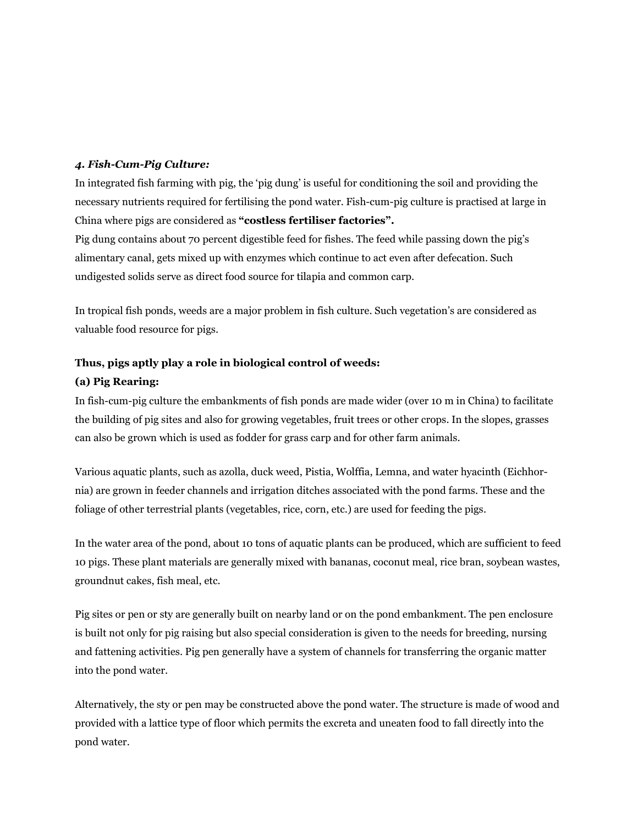#### *4. Fish-Cum-Pig Culture:*

In integrated fish farming with pig, the 'pig dung' is useful for conditioning the soil and providing the necessary nutrients required for fertilising the pond water. Fish-cum-pig culture is practised at large in China where pigs are considered as **"costless fertiliser factories".**

Pig dung contains about 70 percent digestible feed for fishes. The feed while passing down the pig's alimentary canal, gets mixed up with enzymes which continue to act even after defecation. Such undigested solids serve as direct food source for tilapia and common carp.

In tropical fish ponds, weeds are a major problem in fish culture. Such vegetation's are considered as valuable food resource for pigs.

#### **Thus, pigs aptly play a role in biological control of weeds:**

#### **(a) Pig Rearing:**

In fish-cum-pig culture the embankments of fish ponds are made wider (over 10 m in China) to facilitate the building of pig sites and also for growing vegetables, fruit trees or other crops. In the slopes, grasses can also be grown which is used as fodder for grass carp and for other farm animals.

Various aquatic plants, such as azolla, duck weed, Pistia, Wolffia, Lemna, and water hyacinth (Eichhornia) are grown in feeder channels and irrigation ditches associated with the pond farms. These and the foliage of other terrestrial plants (vegetables, rice, corn, etc.) are used for feeding the pigs.

In the water area of the pond, about 10 tons of aquatic plants can be produced, which are sufficient to feed 10 pigs. These plant materials are generally mixed with bananas, coconut meal, rice bran, soybean wastes, groundnut cakes, fish meal, etc.

Pig sites or pen or sty are generally built on nearby land or on the pond embankment. The pen enclosure is built not only for pig raising but also special consideration is given to the needs for breeding, nursing and fattening activities. Pig pen generally have a system of channels for transferring the organic matter into the pond water.

Alternatively, the sty or pen may be constructed above the pond water. The structure is made of wood and provided with a lattice type of floor which permits the excreta and uneaten food to fall directly into the pond water.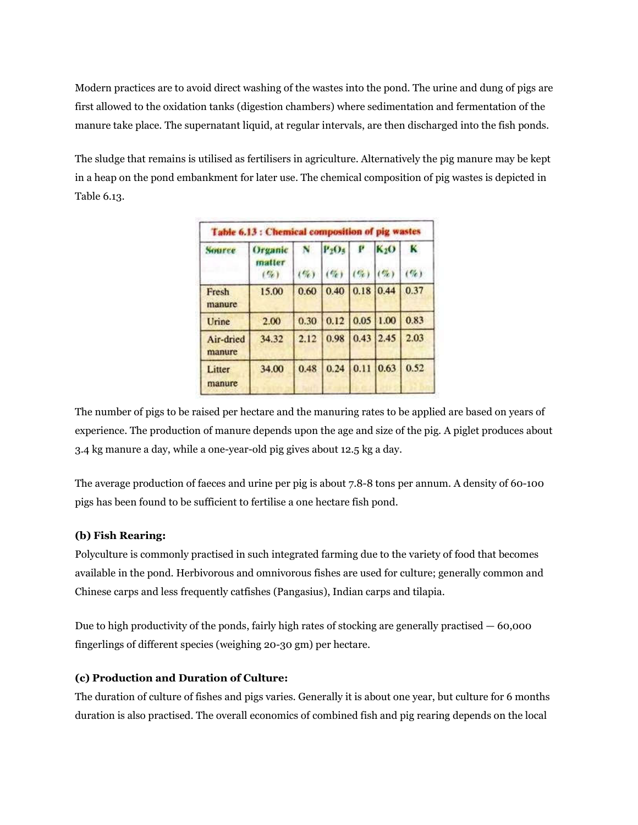Modern practices are to avoid direct washing of the wastes into the pond. The urine and dung of pigs are first allowed to the oxidation tanks (digestion chambers) where sedimentation and fermentation of the manure take place. The supernatant liquid, at regular intervals, are then discharged into the fish ponds.

The sludge that remains is utilised as fertilisers in agriculture. Alternatively the pig manure may be kept in a heap on the pond embankment for later use. The chemical composition of pig wastes is depicted in Table 6.13.

| Table 6.13 : Chemical composition of pig wastes |                           |             |                    |                        |                            |                    |
|-------------------------------------------------|---------------------------|-------------|--------------------|------------------------|----------------------------|--------------------|
| Source                                          | Organic<br>matter<br>(50) | N<br>$(\%)$ | $P_2O_5$<br>$(\%)$ | $\mathbf{P}$<br>$($ %) | K <sub>2</sub> O<br>$($ %) | $\bf{K}$<br>$($ %) |
| Fresh<br>manure                                 | 15.00                     | 0.60        |                    | $0.40$ 0.18 0.44       |                            | 0.37               |
| Urine                                           | 2.00                      | 0.30        | 0.12               | 0.05                   | 1.00                       | 0.83               |
| Air-dried<br>manure                             | 34.32                     | 2.12        | 0.98               | 0.43                   | 2.45                       | 2.03               |
| Litter<br>manure                                | 34.00                     | 0.48        | 0.24               | 0.11                   | 0.63                       | 0.52               |

The number of pigs to be raised per hectare and the manuring rates to be applied are based on years of experience. The production of manure depends upon the age and size of the pig. A piglet produces about 3.4 kg manure a day, while a one-year-old pig gives about 12.5 kg a day.

The average production of faeces and urine per pig is about 7.8-8 tons per annum. A density of 60-100 pigs has been found to be sufficient to fertilise a one hectare fish pond.

#### **(b) Fish Rearing:**

Polyculture is commonly practised in such integrated farming due to the variety of food that becomes available in the pond. Herbivorous and omnivorous fishes are used for culture; generally common and Chinese carps and less frequently catfishes (Pangasius), Indian carps and tilapia.

Due to high productivity of the ponds, fairly high rates of stocking are generally practised — 60,000 fingerlings of different species (weighing 20-30 gm) per hectare.

#### **(c) Production and Duration of Culture:**

The duration of culture of fishes and pigs varies. Generally it is about one year, but culture for 6 months duration is also practised. The overall economics of combined fish and pig rearing depends on the local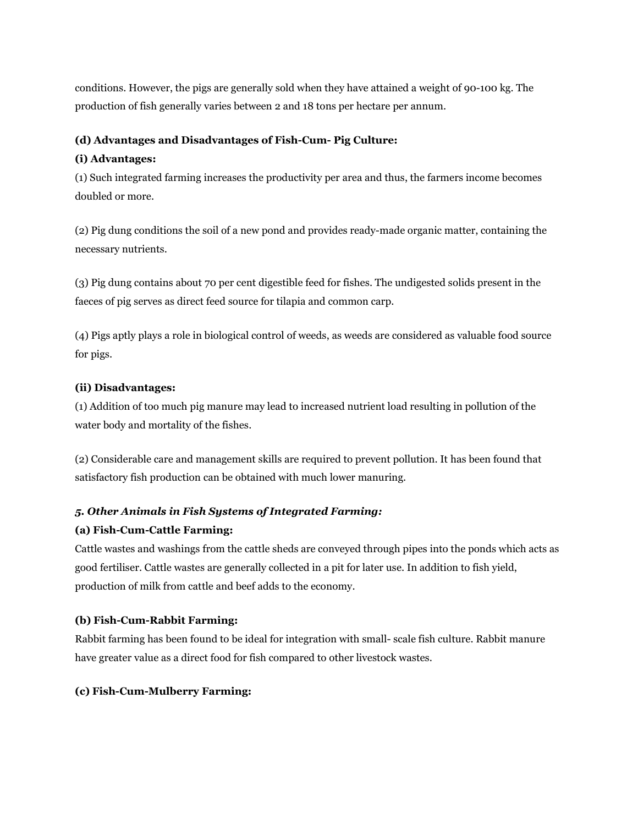conditions. However, the pigs are generally sold when they have attained a weight of 90-100 kg. The production of fish generally varies between 2 and 18 tons per hectare per annum.

#### **(d) Advantages and Disadvantages of Fish-Cum- Pig Culture:**

#### **(i) Advantages:**

(1) Such integrated farming increases the productivity per area and thus, the farmers income becomes doubled or more.

(2) Pig dung conditions the soil of a new pond and provides ready-made organic matter, containing the necessary nutrients.

(3) Pig dung contains about 70 per cent digestible feed for fishes. The undigested solids present in the faeces of pig serves as direct feed source for tilapia and common carp.

(4) Pigs aptly plays a role in biological control of weeds, as weeds are considered as valuable food source for pigs.

#### **(ii) Disadvantages:**

(1) Addition of too much pig manure may lead to increased nutrient load resulting in pollution of the water body and mortality of the fishes.

(2) Considerable care and management skills are required to prevent pollution. It has been found that satisfactory fish production can be obtained with much lower manuring.

## *5. Other Animals in Fish Systems of Integrated Farming:*

## **(a) Fish-Cum-Cattle Farming:**

Cattle wastes and washings from the cattle sheds are conveyed through pipes into the ponds which acts as good fertiliser. Cattle wastes are generally collected in a pit for later use. In addition to fish yield, production of milk from cattle and beef adds to the economy.

#### **(b) Fish-Cum-Rabbit Farming:**

Rabbit farming has been found to be ideal for integration with small- scale fish culture. Rabbit manure have greater value as a direct food for fish compared to other livestock wastes.

#### **(c) Fish-Cum-Mulberry Farming:**